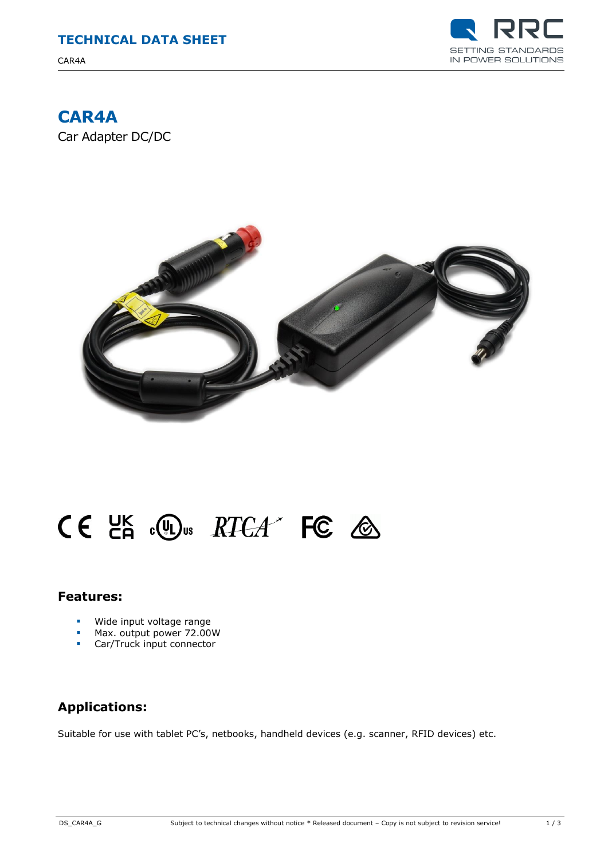CAR4A



## **CAR4A**

Car Adapter DC/DC



# CE UK . Wus RTCA' FC &

#### **Features:**

- Wide input voltage range
- Max. output power 72.00W
- **Car/Truck input connector**

### **Applications:**

Suitable for use with tablet PC's, netbooks, handheld devices (e.g. scanner, RFID devices) etc.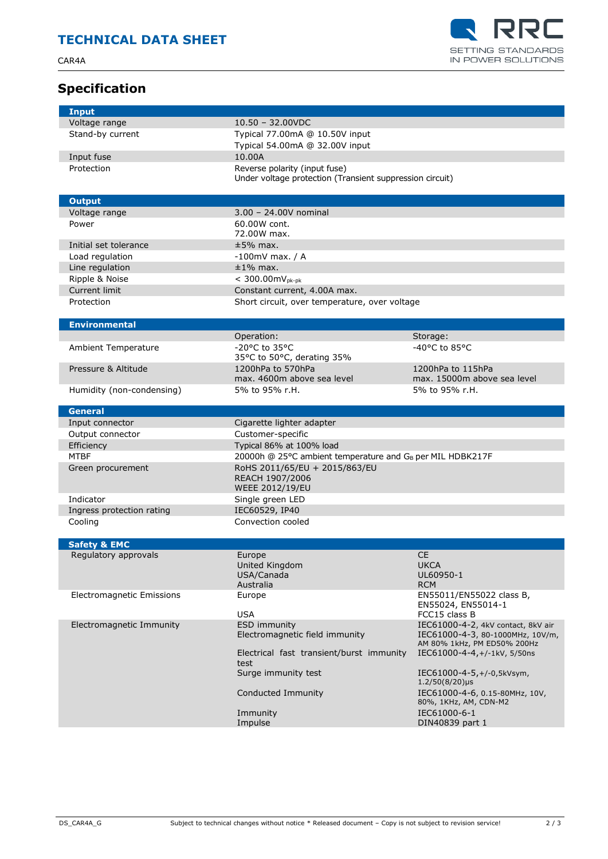CAR4A

### **Specification**



| <b>Input</b>                                    |                                                                       |                                                                        |
|-------------------------------------------------|-----------------------------------------------------------------------|------------------------------------------------------------------------|
| Voltage range                                   | $10.50 - 32.00$ VDC                                                   |                                                                        |
| Stand-by current                                | Typical 77.00mA @ 10.50V input                                        |                                                                        |
|                                                 | Typical 54.00mA @ 32.00V input                                        |                                                                        |
| Input fuse                                      | 10.00A                                                                |                                                                        |
| Protection                                      | Reverse polarity (input fuse)                                         |                                                                        |
|                                                 | Under voltage protection (Transient suppression circuit)              |                                                                        |
|                                                 |                                                                       |                                                                        |
| <b>Output</b>                                   |                                                                       |                                                                        |
| Voltage range                                   | 3.00 - 24.00V nominal                                                 |                                                                        |
| Power                                           | 60.00W cont.                                                          |                                                                        |
| Initial set tolerance                           | 72.00W max.<br>$±5%$ max.                                             |                                                                        |
| Load regulation                                 | $-100$ mV max. / A                                                    |                                                                        |
|                                                 | $±1\%$ max.                                                           |                                                                        |
| Line regulation                                 | $< 300.00$ m $V_{\text{pk-bk}}$                                       |                                                                        |
| Ripple & Noise                                  |                                                                       |                                                                        |
| Current limit                                   | Constant current, 4.00A max.                                          |                                                                        |
| Protection                                      | Short circuit, over temperature, over voltage                         |                                                                        |
| <b>Environmental</b>                            |                                                                       |                                                                        |
|                                                 | Operation:                                                            | Storage:                                                               |
| <b>Ambient Temperature</b>                      | $-20$ °C to 35°C                                                      | $-40$ °C to 85°C                                                       |
|                                                 | 35°C to 50°C, derating 35%                                            |                                                                        |
| Pressure & Altitude                             | 1200hPa to 570hPa                                                     | 1200hPa to 115hPa                                                      |
|                                                 | max. 4600m above sea level                                            | max. 15000m above sea level                                            |
| Humidity (non-condensing)                       | 5% to 95% r.H.                                                        | 5% to 95% r.H.                                                         |
| <b>General</b>                                  |                                                                       |                                                                        |
| Input connector                                 | Cigarette lighter adapter                                             |                                                                        |
| Output connector                                | Customer-specific                                                     |                                                                        |
| Efficiency                                      | Typical 86% at 100% load                                              |                                                                        |
| <b>MTBF</b>                                     | 20000h @ 25°C ambient temperature and G <sub>B</sub> per MIL HDBK217F |                                                                        |
| Green procurement                               | RoHS 2011/65/EU + 2015/863/EU                                         |                                                                        |
|                                                 | REACH 1907/2006                                                       |                                                                        |
|                                                 | <b>WEEE 2012/19/EU</b>                                                |                                                                        |
| Indicator                                       | Single green LED                                                      |                                                                        |
| Ingress protection rating                       | IEC60529, IP40                                                        |                                                                        |
| Cooling                                         | Convection cooled                                                     |                                                                        |
|                                                 |                                                                       |                                                                        |
| <b>Safety &amp; EMC</b><br>Regulatory approvals | Europe                                                                | <b>CE</b>                                                              |
|                                                 | United Kingdom                                                        | <b>UKCA</b>                                                            |
|                                                 | USA/Canada                                                            | UL60950-1                                                              |
|                                                 | Australia                                                             | <b>RCM</b>                                                             |
| <b>Electromagnetic Emissions</b>                | Europe                                                                | EN55011/EN55022 class B,                                               |
|                                                 |                                                                       | EN55024, EN55014-1                                                     |
|                                                 | <b>USA</b>                                                            | FCC15 class B                                                          |
| Electromagnetic Immunity                        | <b>ESD immunity</b><br>Electromagnetic field immunity                 | IEC61000-4-2, 4kV contact, 8kV air<br>IEC61000-4-3, 80-1000MHz, 10V/m, |
|                                                 |                                                                       | AM 80% 1kHz, PM ED50% 200Hz                                            |
|                                                 | Electrical fast transient/burst immunity                              | IEC61000-4-4,+/-1kV, 5/50ns                                            |
|                                                 | test                                                                  |                                                                        |
|                                                 | Surge immunity test                                                   | IEC61000-4-5, +/-0, 5kVsym,                                            |
|                                                 |                                                                       | $1.2/50(8/20)$ µs                                                      |
|                                                 | Conducted Immunity                                                    | IEC61000-4-6, 0.15-80MHz, 10V,<br>80%, 1KHz, AM, CDN-M2                |
|                                                 | Immunity                                                              | IEC61000-6-1                                                           |
|                                                 | Impulse                                                               | DIN40839 part 1                                                        |
|                                                 |                                                                       |                                                                        |